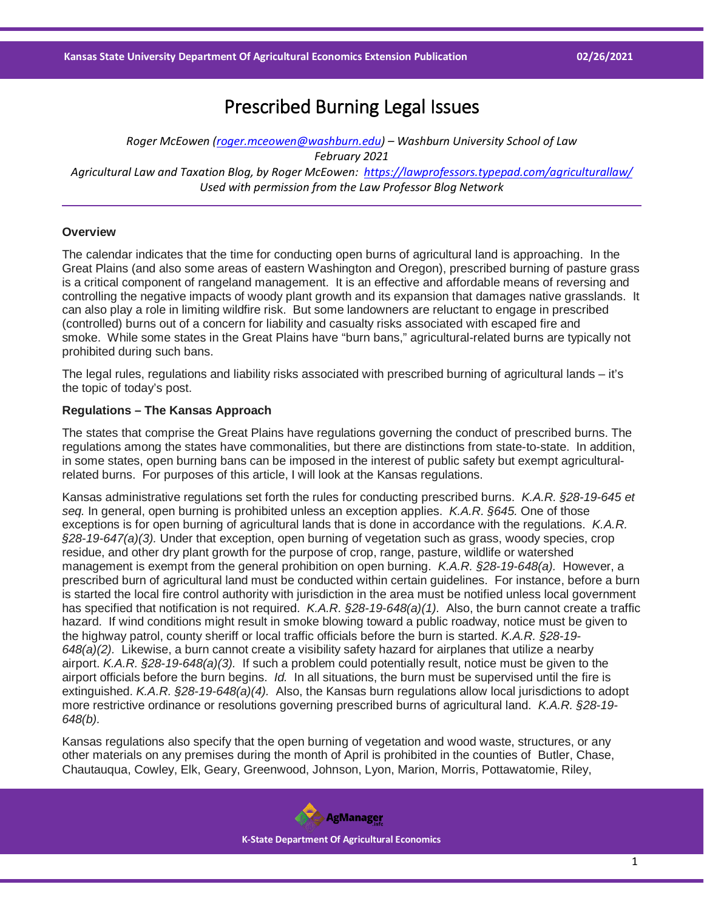# Prescribed Burning Legal Issues

*Roger McEowen [\(roger.mceowen@washburn.edu\)](mailto:roger.mceowen@washburn.edu) – Washburn University School of Law February 2021 Agricultural Law and Taxation Blog, by Roger McEowen:<https://lawprofessors.typepad.com/agriculturallaw/> Used with permission from the Law Professor Blog Network*

## **Overview**

The calendar indicates that the time for conducting open burns of agricultural land is approaching. In the Great Plains (and also some areas of eastern Washington and Oregon), prescribed burning of pasture grass is a critical component of rangeland management. It is an effective and affordable means of reversing and controlling the negative impacts of woody plant growth and its expansion that damages native grasslands. It can also play a role in limiting wildfire risk. But some landowners are reluctant to engage in prescribed (controlled) burns out of a concern for liability and casualty risks associated with escaped fire and smoke. While some states in the Great Plains have "burn bans," agricultural-related burns are typically not prohibited during such bans.

The legal rules, regulations and liability risks associated with prescribed burning of agricultural lands – it's the topic of today's post.

## **Regulations – The Kansas Approach**

The states that comprise the Great Plains have regulations governing the conduct of prescribed burns. The regulations among the states have commonalities, but there are distinctions from state-to-state. In addition, in some states, open burning bans can be imposed in the interest of public safety but exempt agriculturalrelated burns. For purposes of this article, I will look at the Kansas regulations.

Kansas administrative regulations set forth the rules for conducting prescribed burns. *K.A.R. §28-19-645 et seq.* In general, open burning is prohibited unless an exception applies. *K.A.R. §645.* One of those exceptions is for open burning of agricultural lands that is done in accordance with the regulations. *K.A.R. §28-19-647(a)(3).* Under that exception, open burning of vegetation such as grass, woody species, crop residue, and other dry plant growth for the purpose of crop, range, pasture, wildlife or watershed management is exempt from the general prohibition on open burning. *K.A.R. §28-19-648(a).* However, a prescribed burn of agricultural land must be conducted within certain guidelines. For instance, before a burn is started the local fire control authority with jurisdiction in the area must be notified unless local government has specified that notification is not required. *K.A.R. §28-19-648(a)(1).* Also, the burn cannot create a traffic hazard. If wind conditions might result in smoke blowing toward a public roadway, notice must be given to the highway patrol, county sheriff or local traffic officials before the burn is started. *K.A.R. §28-19- 648(a)(2).* Likewise, a burn cannot create a visibility safety hazard for airplanes that utilize a nearby airport. *K.A.R. §28-19-648(a)(3).* If such a problem could potentially result, notice must be given to the airport officials before the burn begins. *Id.* In all situations, the burn must be supervised until the fire is extinguished. *K.A.R. §28-19-648(a)(4).* Also, the Kansas burn regulations allow local jurisdictions to adopt more restrictive ordinance or resolutions governing prescribed burns of agricultural land. *K.A.R. §28-19- 648(b).*

Kansas regulations also specify that the open burning of vegetation and wood waste, structures, or any other materials on any premises during the month of April is prohibited in the counties of Butler, Chase, Chautauqua, Cowley, Elk, Geary, Greenwood, Johnson, Lyon, Marion, Morris, Pottawatomie, Riley,

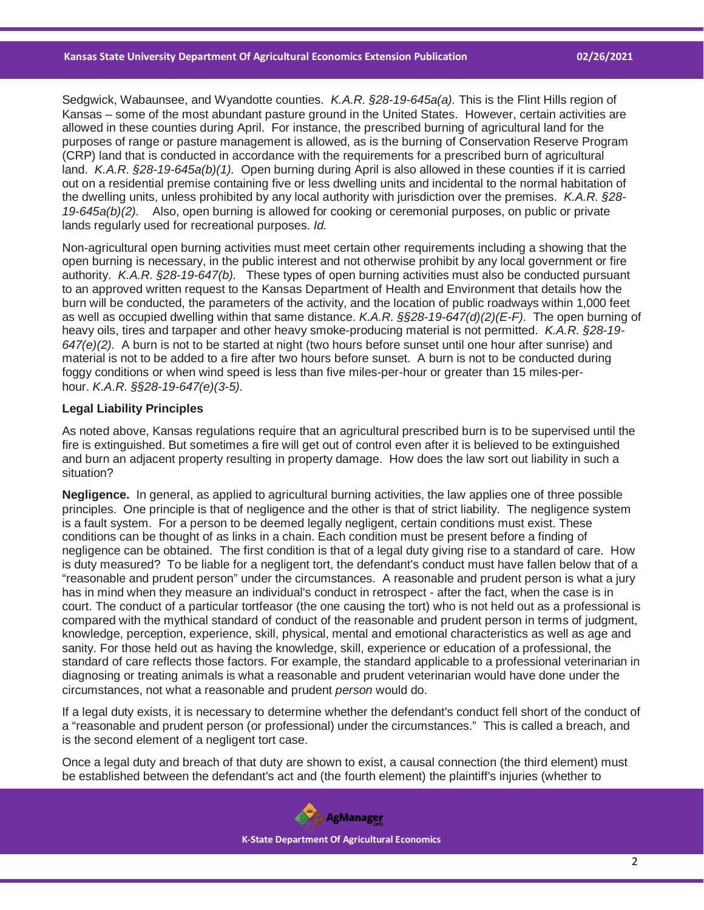Sedgwick, Wabaunsee, and Wyandotte counties. *K.A.R. §28-19-645a(a).* This is the Flint Hills region of Kansas – some of the most abundant pasture ground in the United States. However, certain activities are allowed in these counties during April. For instance, the prescribed burning of agricultural land for the purposes of range or pasture management is allowed, as is the burning of Conservation Reserve Program (CRP) land that is conducted in accordance with the requirements for a prescribed burn of agricultural land. *K.A.R. §28-19-645a(b)(1).* Open burning during April is also allowed in these counties if it is carried out on a residential premise containing five or less dwelling units and incidental to the normal habitation of the dwelling units, unless prohibited by any local authority with jurisdiction over the premises. *K.A.R. §28- 19-645a(b)(2).* Also, open burning is allowed for cooking or ceremonial purposes, on public or private lands regularly used for recreational purposes. *Id.*

Non-agricultural open burning activities must meet certain other requirements including a showing that the open burning is necessary, in the public interest and not otherwise prohibit by any local government or fire authority. *K.A.R. §28-19-647(b).* These types of open burning activities must also be conducted pursuant to an approved written request to the Kansas Department of Health and Environment that details how the burn will be conducted, the parameters of the activity, and the location of public roadways within 1,000 feet as well as occupied dwelling within that same distance. *K.A.R. §§28-19-647(d)(2)(E-F).* The open burning of heavy oils, tires and tarpaper and other heavy smoke-producing material is not permitted. *K.A.R. §28-19- 647(e)(2).* A burn is not to be started at night (two hours before sunset until one hour after sunrise) and material is not to be added to a fire after two hours before sunset. A burn is not to be conducted during foggy conditions or when wind speed is less than five miles-per-hour or greater than 15 miles-perhour. *K.A.R. §§28-19-647(e)(3-5).*

### **Legal Liability Principles**

As noted above, Kansas regulations require that an agricultural prescribed burn is to be supervised until the fire is extinguished. But sometimes a fire will get out of control even after it is believed to be extinguished and burn an adjacent property resulting in property damage. How does the law sort out liability in such a situation?

**Negligence.** In general, as applied to agricultural burning activities, the law applies one of three possible principles. One principle is that of negligence and the other is that of strict liability. The negligence system is a fault system. For a person to be deemed legally negligent, certain conditions must exist. These conditions can be thought of as links in a chain. Each condition must be present before a finding of negligence can be obtained. The first condition is that of a legal duty giving rise to a standard of care. How is duty measured? To be liable for a negligent tort, the defendant's conduct must have fallen below that of a "reasonable and prudent person" under the circumstances. A reasonable and prudent person is what a jury has in mind when they measure an individual's conduct in retrospect - after the fact, when the case is in court. The conduct of a particular tortfeasor (the one causing the tort) who is not held out as a professional is compared with the mythical standard of conduct of the reasonable and prudent person in terms of judgment, knowledge, perception, experience, skill, physical, mental and emotional characteristics as well as age and sanity. For those held out as having the knowledge, skill, experience or education of a professional, the standard of care reflects those factors. For example, the standard applicable to a professional veterinarian in diagnosing or treating animals is what a reasonable and prudent veterinarian would have done under the circumstances, not what a reasonable and prudent *person* would do.

If a legal duty exists, it is necessary to determine whether the defendant's conduct fell short of the conduct of a "reasonable and prudent person (or professional) under the circumstances." This is called a breach, and is the second element of a negligent tort case.

Once a legal duty and breach of that duty are shown to exist, a causal connection (the third element) must be established between the defendant's act and (the fourth element) the plaintiff's injuries (whether to

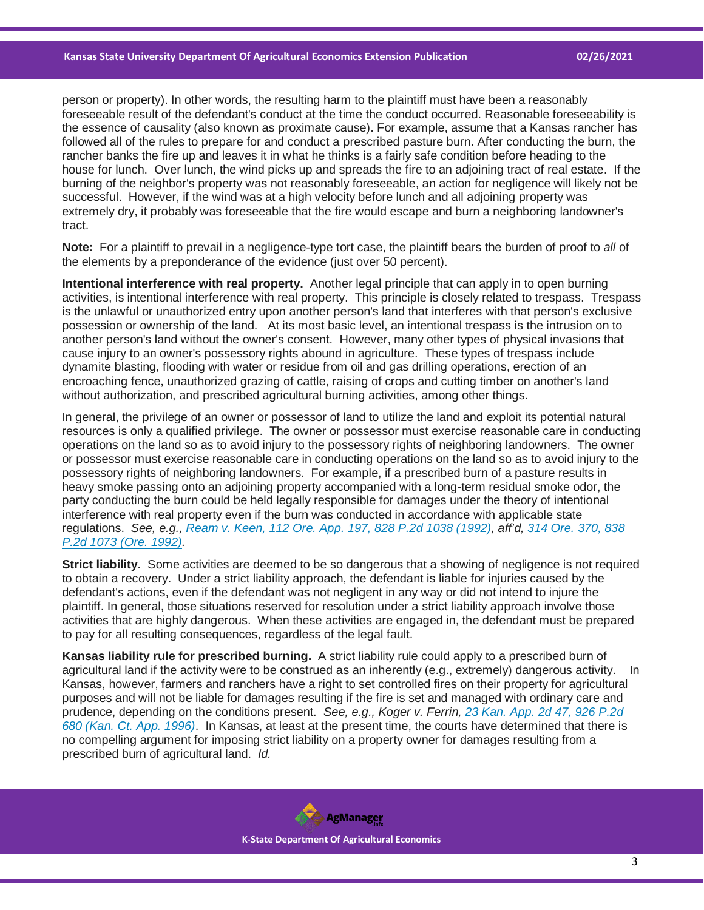person or property). In other words, the resulting harm to the plaintiff must have been a reasonably foreseeable result of the defendant's conduct at the time the conduct occurred. Reasonable foreseeability is the essence of causality (also known as proximate cause). For example, assume that a Kansas rancher has followed all of the rules to prepare for and conduct a prescribed pasture burn. After conducting the burn, the rancher banks the fire up and leaves it in what he thinks is a fairly safe condition before heading to the house for lunch. Over lunch, the wind picks up and spreads the fire to an adjoining tract of real estate. If the burning of the neighbor's property was not reasonably foreseeable, an action for negligence will likely not be successful. However, if the wind was at a high velocity before lunch and all adjoining property was extremely dry, it probably was foreseeable that the fire would escape and burn a neighboring landowner's tract.

**Note:** For a plaintiff to prevail in a negligence-type tort case, the plaintiff bears the burden of proof to *all* of the elements by a preponderance of the evidence (just over 50 percent).

**Intentional interference with real property.** Another legal principle that can apply in to open burning activities, is intentional interference with real property. This principle is closely related to trespass. Trespass is the unlawful or unauthorized entry upon another person's land that interferes with that person's exclusive possession or ownership of the land. At its most basic level, an intentional trespass is the intrusion on to another person's land without the owner's consent. However, many other types of physical invasions that cause injury to an owner's possessory rights abound in agriculture. These types of trespass include dynamite blasting, flooding with water or residue from oil and gas drilling operations, erection of an encroaching fence, unauthorized grazing of cattle, raising of crops and cutting timber on another's land without authorization, and prescribed agricultural burning activities, among other things.

In general, the privilege of an owner or possessor of land to utilize the land and exploit its potential natural resources is only a qualified privilege. The owner or possessor must exercise reasonable care in conducting operations on the land so as to avoid injury to the possessory rights of neighboring landowners. The owner or possessor must exercise reasonable care in conducting operations on the land so as to avoid injury to the possessory rights of neighboring landowners. For example, if a prescribed burn of a pasture results in heavy smoke passing onto an adjoining property accompanied with a long-term residual smoke odor, the party conducting the burn could be held legally responsible for damages under the theory of intentional interference with real property even if the burn was conducted in accordance with applicable state regulations. *See, e.g., [Ream v. Keen, 112 Ore. App. 197, 828 P.2d 1038 \(1992\),](https://casetext.com/case/ream-v-keen-1?ref=ArRBZs!lo2KOY) aff'd, [314 Ore. 370, 838](https://casetext.com/case/ream-v-keen?ref=ArRBZs!umqdTV)  [P.2d 1073 \(Ore. 1992\).](https://casetext.com/case/ream-v-keen?ref=ArRBZs!umqdTV)*

**Strict liability.** Some activities are deemed to be so dangerous that a showing of negligence is not required to obtain a recovery. Under a strict liability approach, the defendant is liable for injuries caused by the defendant's actions, even if the defendant was not negligent in any way or did not intend to injure the plaintiff. In general, those situations reserved for resolution under a strict liability approach involve those activities that are highly dangerous. When these activities are engaged in, the defendant must be prepared to pay for all resulting consequences, regardless of the legal fault.

**Kansas liability rule for prescribed burning.** A strict liability rule could apply to a prescribed burn of agricultural land if the activity were to be construed as an inherently (e.g., extremely) dangerous activity. In Kansas, however, farmers and ranchers have a right to set controlled fires on their property for agricultural purposes and will not be liable for damages resulting if the fire is set and managed with ordinary care and prudence, depending on the conditions present. *See, e.g., Koger v. Ferrin, [23 Kan. App. 2d 47,](https://casetext.com/case/koger-v-ferrin?ref=ArRBZs!UBX2SL) [926 P.2d](https://casetext.com/case/koger-v-ferrin?ref=ArRBZs!UBX2SL)  [680 \(Kan. Ct. App. 1996\)](https://casetext.com/case/koger-v-ferrin?ref=ArRBZs!UBX2SL)*. In Kansas, at least at the present time, the courts have determined that there is no compelling argument for imposing strict liability on a property owner for damages resulting from a prescribed burn of agricultural land. *Id.*